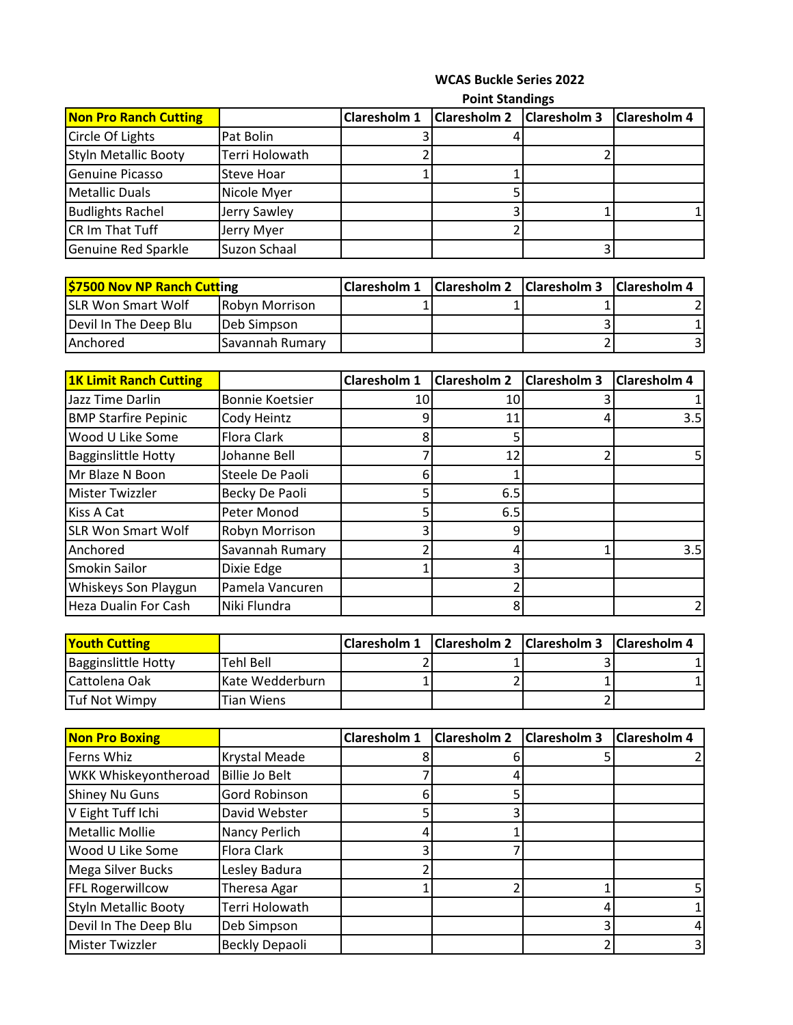## **WCAS Buckle Series 2022**

**Point Standings** 

|                              | L ALLA AMININA    |              |                     |                     |                     |
|------------------------------|-------------------|--------------|---------------------|---------------------|---------------------|
| <b>Non Pro Ranch Cutting</b> |                   | Claresholm 1 | <b>Claresholm 2</b> | <b>Claresholm 3</b> | <b>Claresholm 4</b> |
| Circle Of Lights             | Pat Bolin         |              |                     |                     |                     |
| <b>Styln Metallic Booty</b>  | Terri Holowath    |              |                     |                     |                     |
| <b>Genuine Picasso</b>       | <b>Steve Hoar</b> |              |                     |                     |                     |
| <b>Metallic Duals</b>        | Nicole Myer       |              |                     |                     |                     |
| <b>Budlights Rachel</b>      | Jerry Sawley      |              |                     |                     |                     |
| CR Im That Tuff              | Jerry Myer        |              |                     |                     |                     |
| Genuine Red Sparkle          | Suzon Schaal      |              |                     |                     |                     |

| \$7500 Nov NP Ranch Cutting |                        | <b>Claresholm 1</b> | Claresholm 2   Claresholm 3   Claresholm 4 |  |
|-----------------------------|------------------------|---------------------|--------------------------------------------|--|
| <b>SLR Won Smart Wolf</b>   | <b>IRobyn Morrison</b> |                     |                                            |  |
| Devil In The Deep Blu       | <b>IDeb Simpson</b>    |                     |                                            |  |
| <b>LAnchored</b>            | <b>Savannah Rumary</b> |                     |                                            |  |

| <b>1K Limit Ranch Cutting</b> |                        | Claresholm 1 | <b>Claresholm 2</b> | <b>Claresholm 3</b> | <b>Claresholm 4</b> |
|-------------------------------|------------------------|--------------|---------------------|---------------------|---------------------|
| Jazz Time Darlin              | <b>Bonnie Koetsier</b> | 10           | 10                  |                     |                     |
| <b>BMP Starfire Pepinic</b>   | Cody Heintz            | 9            | 11                  |                     | 3.5                 |
| Wood U Like Some              | Flora Clark            | 8            |                     |                     |                     |
| <b>Bagginslittle Hotty</b>    | Johanne Bell           |              | 12                  |                     |                     |
| Mr Blaze N Boon               | Steele De Paoli        | 6            |                     |                     |                     |
| <b>Mister Twizzler</b>        | Becky De Paoli         |              | 6.5                 |                     |                     |
| Kiss A Cat                    | Peter Monod            | 5            | 6.5                 |                     |                     |
| <b>SLR Won Smart Wolf</b>     | Robyn Morrison         | 3            | q                   |                     |                     |
| Anchored                      | Savannah Rumary        |              |                     |                     | 3.5                 |
| <b>Smokin Sailor</b>          | Dixie Edge             |              |                     |                     |                     |
| Whiskeys Son Playgun          | Pamela Vancuren        |              |                     |                     |                     |
| <b>Heza Dualin For Cash</b>   | Niki Flundra           |              | 8                   |                     |                     |

| <b>Youth Cutting</b>       |                 | Claresholm 1   Claresholm 2   Claresholm 3   Claresholm 4 |  |  |
|----------------------------|-----------------|-----------------------------------------------------------|--|--|
| <b>Bagginslittle Hotty</b> | Tehl Bell       |                                                           |  |  |
| <b>ICattolena Oak</b>      | Kate Wedderburn |                                                           |  |  |
| Tuf Not Wimpy              | Tian Wiens      |                                                           |  |  |

| <b>Non Pro Boxing</b>       |                       | Claresholm 1 | <b>Claresholm 2</b> | <b>Claresholm 3</b> | <b>Claresholm 4</b> |
|-----------------------------|-----------------------|--------------|---------------------|---------------------|---------------------|
| Ferns Whiz                  | Krystal Meade         |              |                     |                     |                     |
| WKK Whiskeyontheroad        | <b>Billie Jo Belt</b> |              |                     |                     |                     |
| <b>Shiney Nu Guns</b>       | Gord Robinson         | 61           |                     |                     |                     |
| V Eight Tuff Ichi           | David Webster         |              |                     |                     |                     |
| <b>Metallic Mollie</b>      | Nancy Perlich         |              |                     |                     |                     |
| Wood U Like Some            | Flora Clark           | ว            |                     |                     |                     |
| Mega Silver Bucks           | Lesley Badura         |              |                     |                     |                     |
| <b>FFL Rogerwillcow</b>     | Theresa Agar          |              |                     |                     |                     |
| <b>Styln Metallic Booty</b> | Terri Holowath        |              |                     |                     |                     |
| Devil In The Deep Blu       | Deb Simpson           |              |                     |                     |                     |
| <b>Mister Twizzler</b>      | Beckly Depaoli        |              |                     |                     |                     |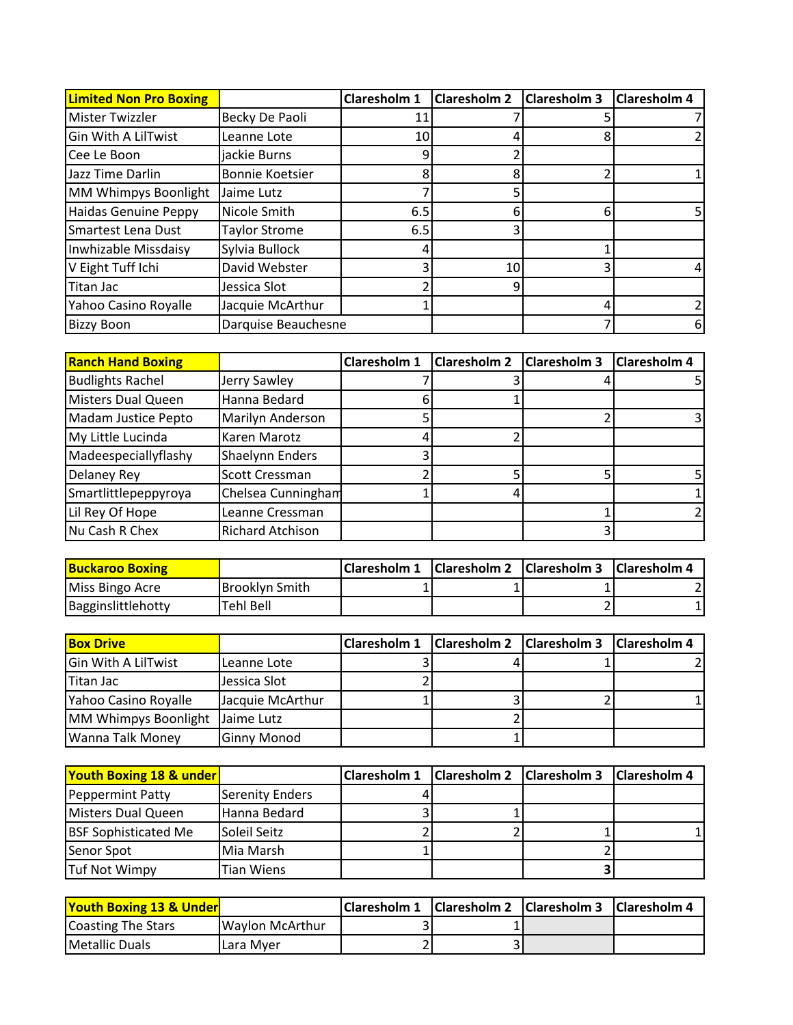| <b>Limited Non Pro Boxing</b> |                        | Claresholm 1    | <b>Claresholm 2</b> | <b>Claresholm 3</b> | <b>Claresholm 4</b> |
|-------------------------------|------------------------|-----------------|---------------------|---------------------|---------------------|
| <b>Mister Twizzler</b>        | Becky De Paoli         | 11              |                     |                     |                     |
| <b>Gin With A LilTwist</b>    | Leanne Lote            | 10 <sub>l</sub> |                     |                     |                     |
| Cee Le Boon                   | jackie Burns           | 9               |                     |                     |                     |
| Jazz Time Darlin              | <b>Bonnie Koetsier</b> | 8               | 8                   |                     |                     |
| MM Whimpys Boonlight          | Jaime Lutz             |                 |                     |                     |                     |
| <b>Haidas Genuine Peppy</b>   | Nicole Smith           | 6.5             | 6                   |                     |                     |
| Smartest Lena Dust            | <b>Taylor Strome</b>   | 6.5             |                     |                     |                     |
| Inwhizable Missdaisy          | Sylvia Bullock         |                 |                     |                     |                     |
| V Eight Tuff Ichi             | David Webster          |                 | 10                  |                     |                     |
| Titan Jac                     | Jessica Slot           |                 | q                   |                     |                     |
| Yahoo Casino Royalle          | Jacquie McArthur       |                 |                     |                     |                     |
| <b>Bizzy Boon</b>             | Darquise Beauchesne    |                 |                     |                     | 6                   |

| <b>Ranch Hand Boxing</b> |                         | Claresholm 1 | <b>Claresholm 2</b> | <b>Claresholm 3</b> | <b>Claresholm 4</b> |
|--------------------------|-------------------------|--------------|---------------------|---------------------|---------------------|
| <b>Budlights Rachel</b>  | Jerry Sawley            |              |                     |                     |                     |
| Misters Dual Queen       | Hanna Bedard            |              |                     |                     |                     |
| Madam Justice Pepto      | Marilyn Anderson        |              |                     |                     |                     |
| My Little Lucinda        | Karen Marotz            |              |                     |                     |                     |
| Madeespeciallyflashy     | Shaelynn Enders         |              |                     |                     |                     |
| Delaney Rey              | <b>Scott Cressman</b>   |              |                     |                     |                     |
| Smartlittlepeppyroya     | Chelsea Cunningham      |              |                     |                     |                     |
| Lil Rey Of Hope          | Leanne Cressman         |              |                     |                     |                     |
| Nu Cash R Chex           | <b>Richard Atchison</b> |              |                     |                     |                     |

| <b>Buckaroo Boxing</b>    |                        | Claresholm 1   Claresholm 2   Claresholm 3   Claresholm 4 |  |  |
|---------------------------|------------------------|-----------------------------------------------------------|--|--|
| Miss Bingo Acre           | <b>IBrooklyn Smith</b> |                                                           |  |  |
| <b>Bagginslittlehotty</b> | Tehl Bell              |                                                           |  |  |

| <b>Box Drive</b>                |                    | Claresholm 1   Claresholm 2   Claresholm 3 |  | <b>Claresholm 4</b> |
|---------------------------------|--------------------|--------------------------------------------|--|---------------------|
| <b>Gin With A LilTwist</b>      | Leanne Lote        |                                            |  |                     |
| Titan Jac                       | Jessica Slot       |                                            |  |                     |
| Yahoo Casino Royalle            | Jacquie McArthur   |                                            |  |                     |
| MM Whimpys Boonlight Jaime Lutz |                    |                                            |  |                     |
| <b>Wanna Talk Money</b>         | <b>Ginny Monod</b> |                                            |  |                     |

| <b>Youth Boxing 18 &amp; under</b> |                        | <b>Claresholm 1</b> | <b>Claresholm 2 Claresholm 3</b> | <b>Claresholm 4</b> |
|------------------------------------|------------------------|---------------------|----------------------------------|---------------------|
| Peppermint Patty                   | <b>Serenity Enders</b> |                     |                                  |                     |
| Misters Dual Queen                 | Hanna Bedard           |                     |                                  |                     |
| <b>BSF Sophisticated Me</b>        | Soleil Seitz           |                     |                                  |                     |
| Senor Spot                         | Mia Marsh              |                     |                                  |                     |
| Tuf Not Wimpy                      | Tian Wiens             |                     |                                  |                     |

| <b>Youth Boxing 13 &amp; Under</b> |                 | Claresholm 1   Claresholm 2   Claresholm 3   Claresholm 4 |  |  |
|------------------------------------|-----------------|-----------------------------------------------------------|--|--|
| Coasting The Stars                 | Wavlon McArthur |                                                           |  |  |
| Metallic Duals                     | Lara Mver       |                                                           |  |  |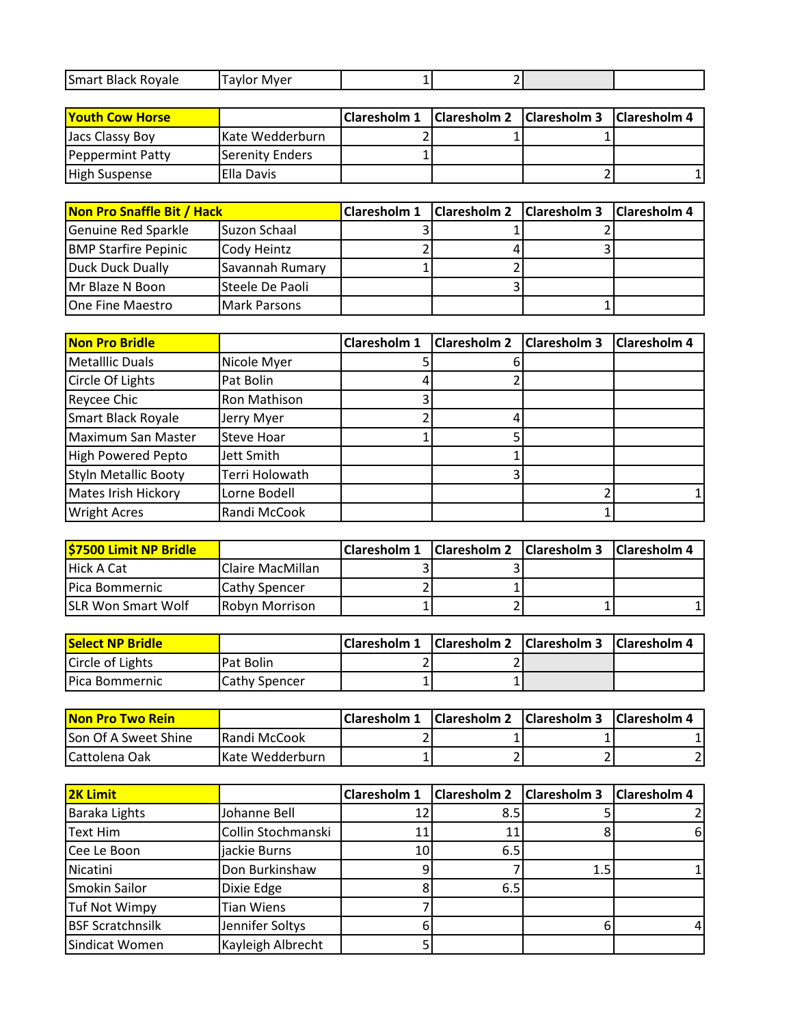| Smart Black Royale | Mver<br>Tavlor |  |  |
|--------------------|----------------|--|--|
|                    |                |  |  |

| <b>Youth Cow Horse</b> |                    | Claresholm 1   Claresholm 2   Claresholm 3   Claresholm 4 |  |  |
|------------------------|--------------------|-----------------------------------------------------------|--|--|
| Jacs Classy Boy        | IKate Wedderburn   |                                                           |  |  |
| Peppermint Patty       | Serenity Enders    |                                                           |  |  |
| <b>High Suspense</b>   | <b>IElla Davis</b> |                                                           |  |  |

| Non Pro Snaffle Bit / Hack  |                     | Claresholm 1   Claresholm 2   Claresholm 3   Claresholm 4 |  |
|-----------------------------|---------------------|-----------------------------------------------------------|--|
| Genuine Red Sparkle         | Suzon Schaal        |                                                           |  |
| <b>BMP Starfire Pepinic</b> | Cody Heintz         |                                                           |  |
| Duck Duck Dually            | Savannah Rumary     |                                                           |  |
| <b>IMr Blaze N Boon</b>     | ISteele De Paoli    |                                                           |  |
| One Fine Maestro            | <b>Mark Parsons</b> |                                                           |  |

| <b>Non Pro Bridle</b>       |                     | <b>Claresholm 1</b> | <b>Claresholm 2</b> | Claresholm 3 | <b>Claresholm 4</b> |
|-----------------------------|---------------------|---------------------|---------------------|--------------|---------------------|
| <b>Metalllic Duals</b>      | Nicole Myer         |                     |                     |              |                     |
| Circle Of Lights            | Pat Bolin           |                     |                     |              |                     |
| Reycee Chic                 | <b>Ron Mathison</b> |                     |                     |              |                     |
| Smart Black Royale          | Jerry Myer          |                     |                     |              |                     |
| <b>Maximum San Master</b>   | <b>Steve Hoar</b>   |                     |                     |              |                     |
| <b>High Powered Pepto</b>   | Jett Smith          |                     |                     |              |                     |
| <b>Styln Metallic Booty</b> | Terri Holowath      |                     |                     |              |                     |
| Mates Irish Hickory         | Lorne Bodell        |                     |                     |              |                     |
| <b>Wright Acres</b>         | Randi McCook        |                     |                     |              |                     |

| <b>\$7500 Limit NP Bridle</b> |                          | Claresholm 1 Claresholm 2 Claresholm 3 Claresholm 4 |  |  |
|-------------------------------|--------------------------|-----------------------------------------------------|--|--|
| Hick A Cat                    | <b>IClaire MacMillan</b> |                                                     |  |  |
| <b>IPica Bommernic</b>        | <b>Cathy Spencer</b>     |                                                     |  |  |
| <b>SLR Won Smart Wolf</b>     | <b>IRobyn Morrison</b>   |                                                     |  |  |

| <b>Select NP Bridle</b> |                       | <b>Claresholm 1</b> | <b>Claresholm 2</b> Claresholm 3 Claresholm 4 |  |
|-------------------------|-----------------------|---------------------|-----------------------------------------------|--|
| Circle of Lights        | IPat Bolin            | <u>.</u>            |                                               |  |
| <b>IPica Bommernic</b>  | <b>ICathy Spencer</b> |                     |                                               |  |

| <b>Non Pro Two Rein</b> |                      | Claresholm 1   Claresholm 2   Claresholm 3   Claresholm 4 |  |  |
|-------------------------|----------------------|-----------------------------------------------------------|--|--|
| Son Of A Sweet Shine    | <b>IRandi McCook</b> |                                                           |  |  |
| ICattolena Oak          | IKate Wedderburn     |                                                           |  |  |

| <b>2K Limit</b>         |                    | <b>Claresholm 1</b> | Claresholm 2   Claresholm 3 |     | <b>Claresholm 4</b> |
|-------------------------|--------------------|---------------------|-----------------------------|-----|---------------------|
| Baraka Lights           | Johanne Bell       | 121                 | 8.5                         |     |                     |
| <b>Text Him</b>         | Collin Stochmanski | 11                  | 11                          |     | 6                   |
| Cee Le Boon             | jackie Burns       | 10                  | 6.5                         |     |                     |
| Nicatini                | Don Burkinshaw     |                     |                             | 1.5 |                     |
| Smokin Sailor           | Dixie Edge         | 8                   | 6.5                         |     |                     |
| <b>Tuf Not Wimpy</b>    | <b>Tian Wiens</b>  |                     |                             |     |                     |
| <b>BSF Scratchnsilk</b> | Jennifer Soltys    | h                   |                             |     |                     |
| Sindicat Women          | Kayleigh Albrecht  |                     |                             |     |                     |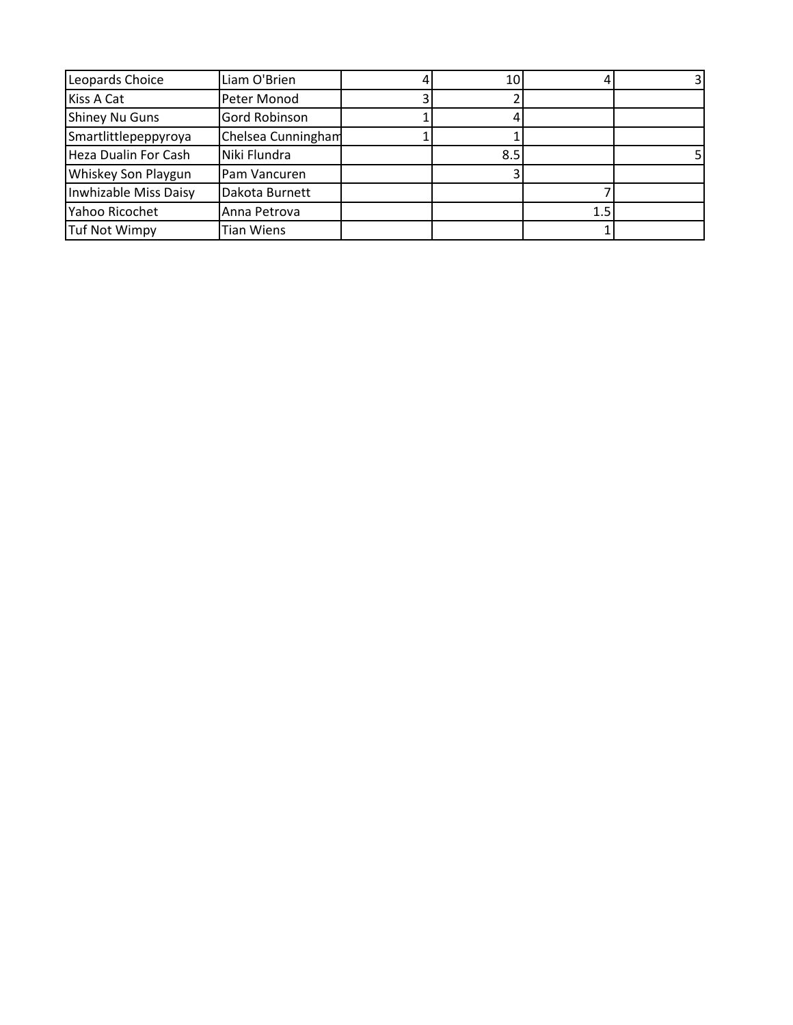| Leopards Choice       | Liam O'Brien       | 10  |     |  |
|-----------------------|--------------------|-----|-----|--|
| Kiss A Cat            | Peter Monod        |     |     |  |
| <b>Shiney Nu Guns</b> | Gord Robinson      |     |     |  |
| Smartlittlepeppyroya  | Chelsea Cunningham |     |     |  |
| Heza Dualin For Cash  | Niki Flundra       | 8.5 |     |  |
| Whiskey Son Playgun   | Pam Vancuren       |     |     |  |
| Inwhizable Miss Daisy | Dakota Burnett     |     |     |  |
| Yahoo Ricochet        | Anna Petrova       |     | 1.5 |  |
| <b>Tuf Not Wimpy</b>  | Tian Wiens         |     |     |  |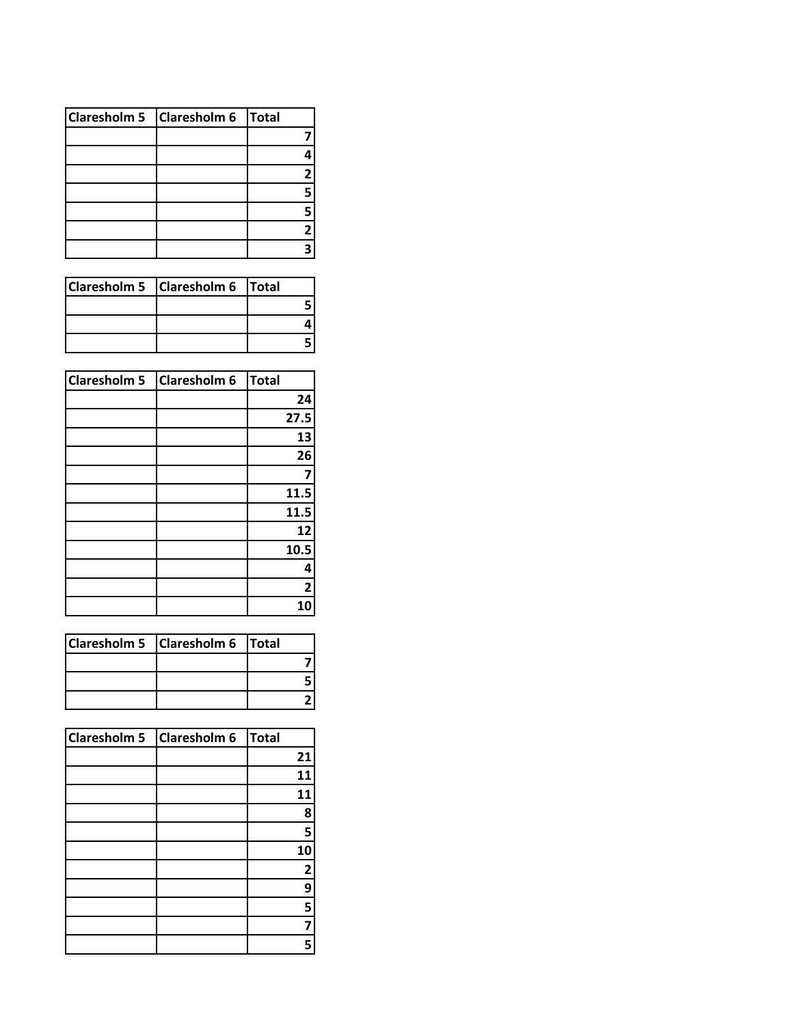| Claresholm 5 Claresholm 6 Total |   |
|---------------------------------|---|
|                                 |   |
|                                 |   |
|                                 | 2 |
|                                 |   |
|                                 |   |
|                                 | 2 |
|                                 |   |

| Claresholm 5   Claresholm 6   Total |  |
|-------------------------------------|--|
|                                     |  |
|                                     |  |
|                                     |  |

| <b>Claresholm 5</b> | <b>Claresholm 6</b> | <b>Total</b> |
|---------------------|---------------------|--------------|
|                     |                     | 24           |
|                     |                     | 27.5         |
|                     |                     | 13           |
|                     |                     | 26           |
|                     |                     | 7            |
|                     |                     | 11.5         |
|                     |                     | 11.5         |
|                     |                     | 12           |
|                     |                     | 10.5         |
|                     |                     | 4            |
|                     |                     | $\mathbf{2}$ |
|                     |                     | 10           |

| Claresholm 5   Claresholm 6   Total |  |
|-------------------------------------|--|
|                                     |  |
|                                     |  |
|                                     |  |

| Claresholm 5 Claresholm 6 | Total |
|---------------------------|-------|
|                           | 21    |
|                           | 11    |
|                           | 11    |
|                           | 8     |
|                           | 5     |
|                           | 10    |
|                           | 2     |
|                           | 9     |
|                           | 5     |
|                           | 7     |
|                           | 5     |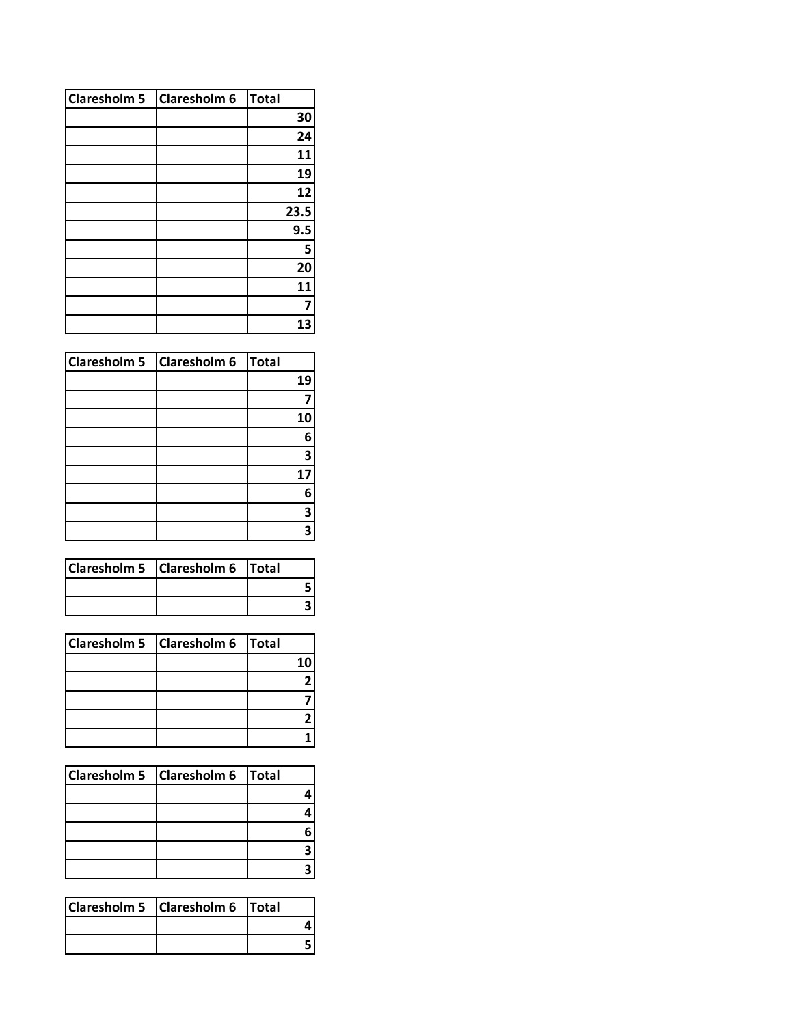| <b>Claresholm 5</b> | Claresholm 6 | <b>Total</b> |
|---------------------|--------------|--------------|
|                     |              | 30           |
|                     |              | 24           |
|                     |              | 11           |
|                     |              | 19           |
|                     |              | 12           |
|                     |              | 23.5         |
|                     |              | 9.5          |
|                     |              | 5            |
|                     |              | 20           |
|                     |              | 11           |
|                     |              |              |
|                     |              | 13           |

| Claresholm 5 Claresholm 6 | Total |
|---------------------------|-------|
|                           | 19    |
|                           |       |
|                           | 10    |
|                           | 6     |
|                           | 3     |
|                           | 17    |
|                           | 6     |
|                           | 3     |
|                           | 3     |

| Claresholm 5 Claresholm 6 Total |  |  |
|---------------------------------|--|--|
|                                 |  |  |
|                                 |  |  |

| Claresholm 5   Claresholm 6   Total |     |
|-------------------------------------|-----|
|                                     | 1 Λ |
|                                     |     |
|                                     |     |
|                                     |     |
|                                     |     |

| Claresholm 5   Claresholm 6   Total |  |
|-------------------------------------|--|
|                                     |  |
|                                     |  |
|                                     |  |
|                                     |  |
|                                     |  |

| Claresholm 5   Claresholm 6   Total |  |  |
|-------------------------------------|--|--|
|                                     |  |  |
|                                     |  |  |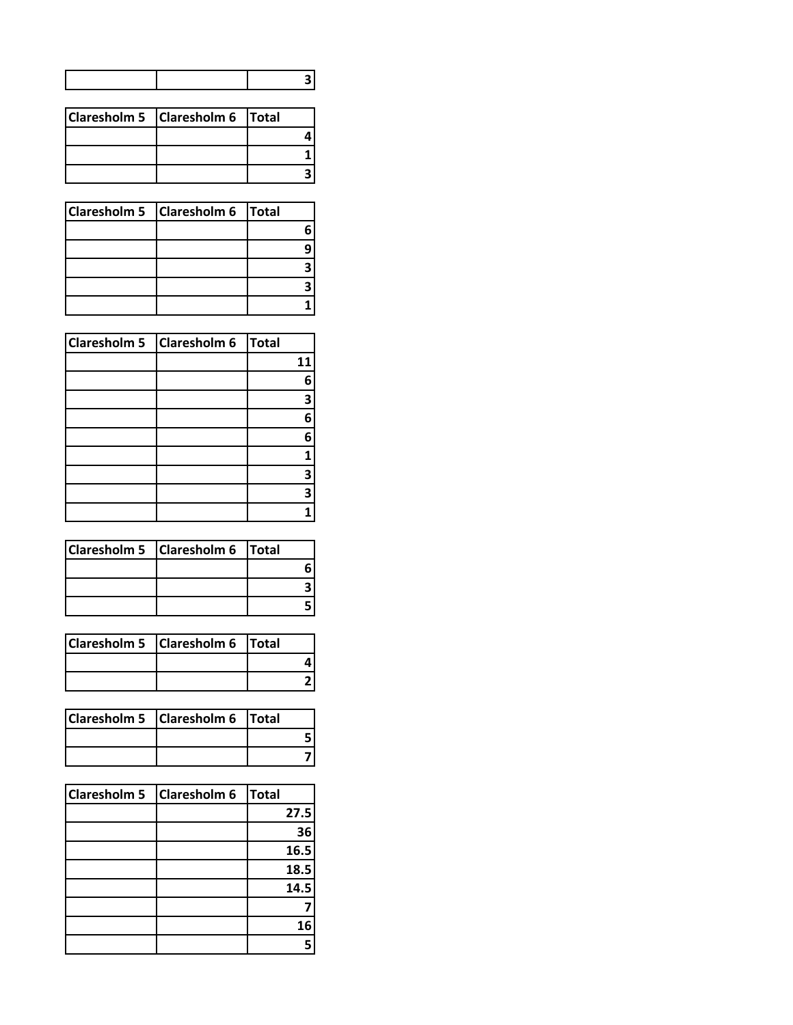| Claresholm 5 Claresholm 6 Total |  |
|---------------------------------|--|
|                                 |  |
|                                 |  |
|                                 |  |

| Claresholm 5   Claresholm 6   Total |  |
|-------------------------------------|--|
|                                     |  |
|                                     |  |
|                                     |  |
|                                     |  |
|                                     |  |

| Claresholm 5 Claresholm 6 | Total |
|---------------------------|-------|
|                           | 11    |
|                           | 6     |
|                           | 3     |
|                           | 6     |
|                           | 6     |
|                           | 1     |
|                           | 3     |
|                           | 3     |
|                           |       |

| Claresholm 5 Claresholm 6 Total |  |
|---------------------------------|--|
|                                 |  |
|                                 |  |
|                                 |  |

| Claresholm 5   Claresholm 6   Total |  |
|-------------------------------------|--|
|                                     |  |
|                                     |  |

| Claresholm 5 Claresholm 6 Total |  |
|---------------------------------|--|
|                                 |  |
|                                 |  |

| <b>Claresholm 5</b> | <b>Claresholm 6</b> | Total |    |
|---------------------|---------------------|-------|----|
|                     |                     | 27.5  |    |
|                     |                     |       | 36 |
|                     |                     | 16.5  |    |
|                     |                     | 18.5  |    |
|                     |                     | 14.5  |    |
|                     |                     |       |    |
|                     |                     |       | 16 |
|                     |                     |       |    |